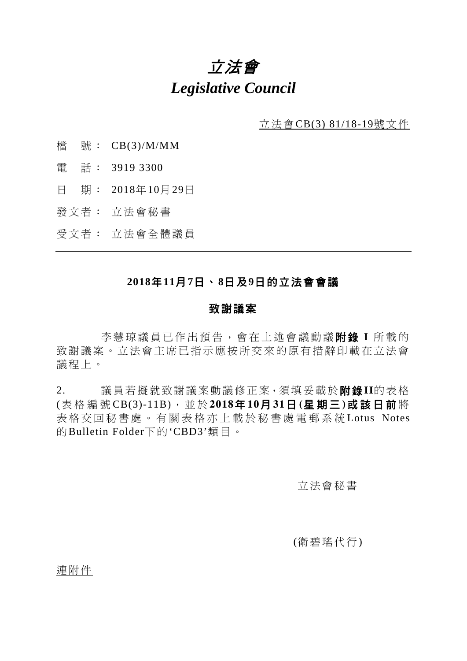# 立法會 *Legislative Council*

立法會CB(3) 81/18-19號文件

- 檔 號: CB(3)/M/MM
- 電 話: 3919 3300
- 日 期: 2018年10月29日
- 發文者: 立法會秘書
- 受文者: 立法會全體議員

### **2018**年**11**月**7**日、**8**日及**9**日的立法會會議

#### 致謝議案

李慧琼議員已作出預告,會在上述會議動議**附錄** I 所載的 致謝議案。立法會主席已指示應按所交來的原有措辭印載在立法會 議程上。

2. 議員若擬就致謝議案動議修正案,須填妥載於附錄**II**的表格 (表格編 號 CB(3)-11B),並於 **2018**年 **10**月 **31**日 **(**星 期 三 **)**或該日 前 將 表 格交回秘書處 。 有 關 表格亦上 載 於 秘 書 處 電 郵系統 Lotus Notes 的Bulletin Folder下的'CBD3'類目。

#### 立法會秘書

#### (衛碧瑤代行)

連附件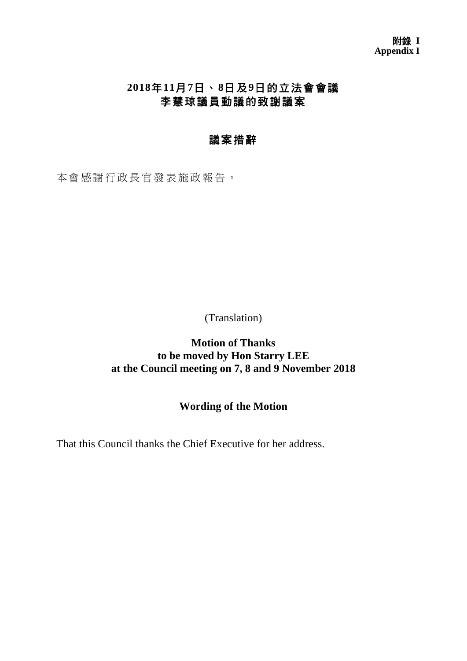# **2018**年**11**月**7**日、**8**日及**9**日的立法會會議 李慧琼議員動議的致謝議案

## 議案措辭

本會感謝行政長官發表施政報告。

(Translation)

**Motion of Thanks to be moved by Hon Starry LEE at the Council meeting on 7, 8 and 9 November 2018**

### **Wording of the Motion**

That this Council thanks the Chief Executive for her address.